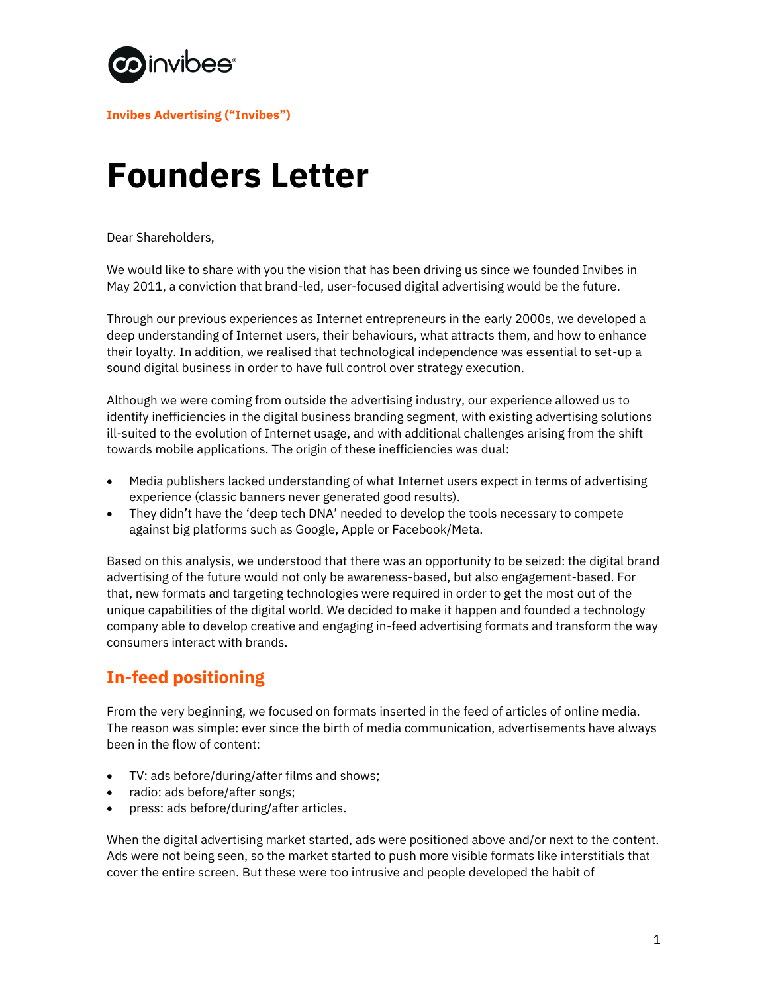

**Invibes Advertising ("Invibes")**

# **Founders Letter**

Dear Shareholders,

We would like to share with you the vision that has been driving us since we founded Invibes in May 2011, a conviction that brand-led, user-focused digital advertising would be the future.

Through our previous experiences as Internet entrepreneurs in the early 2000s, we developed a deep understanding of Internet users, their behaviours, what attracts them, and how to enhance their loyalty. In addition, we realised that technological independence was essential to set-up a sound digital business in order to have full control over strategy execution.

Although we were coming from outside the advertising industry, our experience allowed us to identify inefficiencies in the digital business branding segment, with existing advertising solutions ill-suited to the evolution of Internet usage, and with additional challenges arising from the shift towards mobile applications. The origin of these inefficiencies was dual:

- Media publishers lacked understanding of what Internet users expect in terms of advertising experience (classic banners never generated good results).
- They didn't have the 'deep tech DNA' needed to develop the tools necessary to compete against big platforms such as Google, Apple or Facebook/Meta.

Based on this analysis, we understood that there was an opportunity to be seized: the digital brand advertising of the future would not only be awareness-based, but also engagement-based. For that, new formats and targeting technologies were required in order to get the most out of the unique capabilities of the digital world. We decided to make it happen and founded a technology company able to develop creative and engaging in-feed advertising formats and transform the way consumers interact with brands.

#### **In-feed positioning**

From the very beginning, we focused on formats inserted in the feed of articles of online media. The reason was simple: ever since the birth of media communication, advertisements have always been in the flow of content:

- TV: ads before/during/after films and shows;
- radio: ads before/after songs;
- press: ads before/during/after articles.

When the digital advertising market started, ads were positioned above and/or next to the content. Ads were not being seen, so the market started to push more visible formats like interstitials that cover the entire screen. But these were too intrusive and people developed the habit of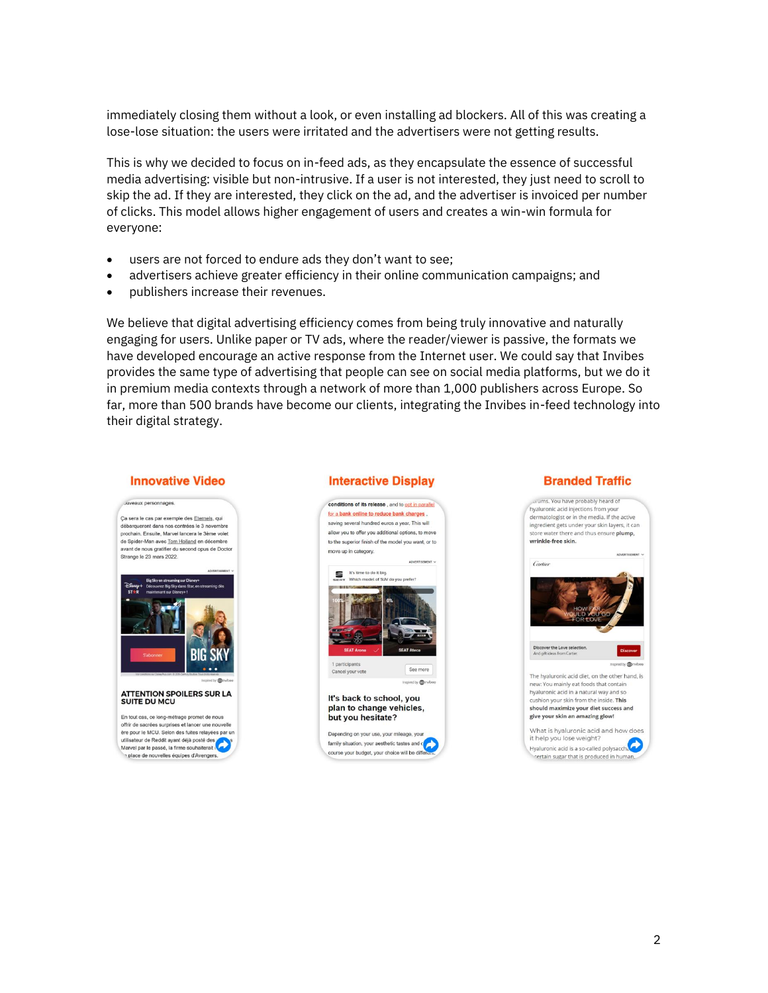immediately closing them without a look, or even installing ad blockers. All of this was creating a lose-lose situation: the users were irritated and the advertisers were not getting results.

This is why we decided to focus on in-feed ads, as they encapsulate the essence of successful media advertising: visible but non-intrusive. If a user is not interested, they just need to scroll to skip the ad. If they are interested, they click on the ad, and the advertiser is invoiced per number of clicks. This model allows higher engagement of users and creates a win-win formula for everyone:

- users are not forced to endure ads they don't want to see;
- advertisers achieve greater efficiency in their online communication campaigns; and
- publishers increase their revenues.

We believe that digital advertising efficiency comes from being truly innovative and naturally engaging for users. Unlike paper or TV ads, where the reader/viewer is passive, the formats we have developed encourage an active response from the Internet user. We could say that Invibes provides the same type of advertising that people can see on social media platforms, but we do it in premium media contexts through a network of more than 1,000 publishers across Europe. So far, more than 500 brands have become our clients, integrating the Invibes in-feed technology into their digital strategy.

#### **Innovative Video**



En tout cas, ce long-métrage promet de nous offrir de sacrées surprises et lancer une nouvelle<br>ère pour le MCU. Selon des fuites relayées par un utilisateur de Reddit avant déjà posté des

utilisateur de Reddit ayant deja poste des<br>Marvel par le passé, la firme souhaiterait place de nouvelles équipes d'Avengers

#### **Interactive Display**



#### **Branded Traffic**

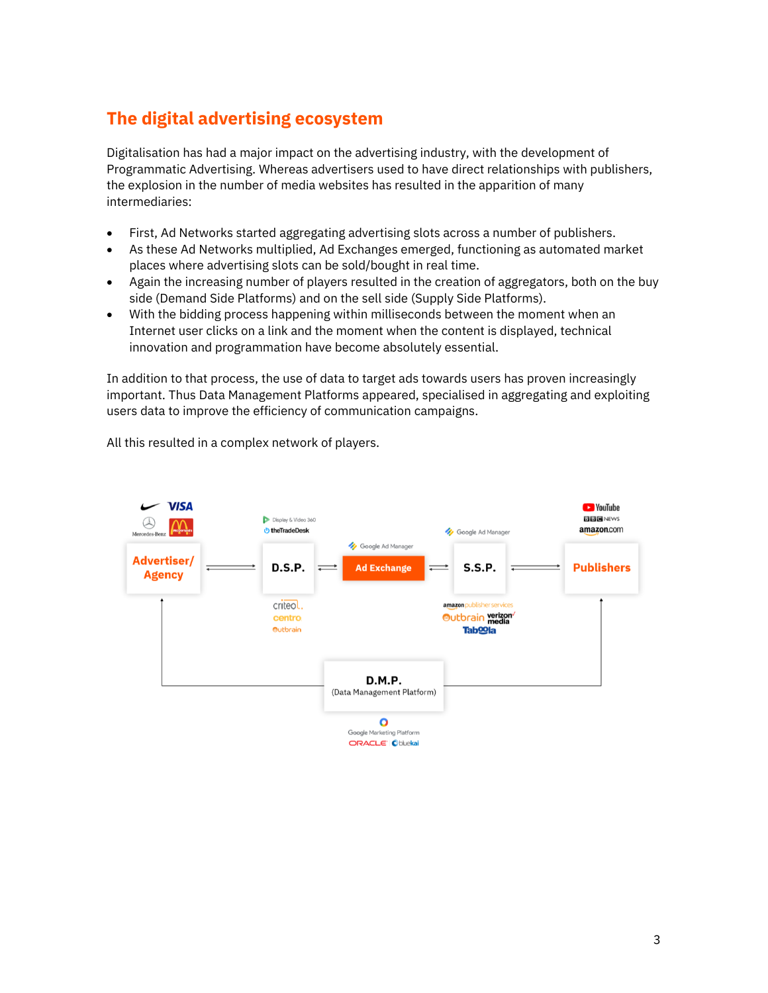### **The digital advertising ecosystem**

Digitalisation has had a major impact on the advertising industry, with the development of Programmatic Advertising. Whereas advertisers used to have direct relationships with publishers, the explosion in the number of media websites has resulted in the apparition of many intermediaries:

- First, Ad Networks started aggregating advertising slots across a number of publishers.
- As these Ad Networks multiplied, Ad Exchanges emerged, functioning as automated market places where advertising slots can be sold/bought in real time.
- Again the increasing number of players resulted in the creation of aggregators, both on the buy side (Demand Side Platforms) and on the sell side (Supply Side Platforms).
- With the bidding process happening within milliseconds between the moment when an Internet user clicks on a link and the moment when the content is displayed, technical innovation and programmation have become absolutely essential.

In addition to that process, the use of data to target ads towards users has proven increasingly important. Thus Data Management Platforms appeared, specialised in aggregating and exploiting users data to improve the efficiency of communication campaigns.



All this resulted in a complex network of players.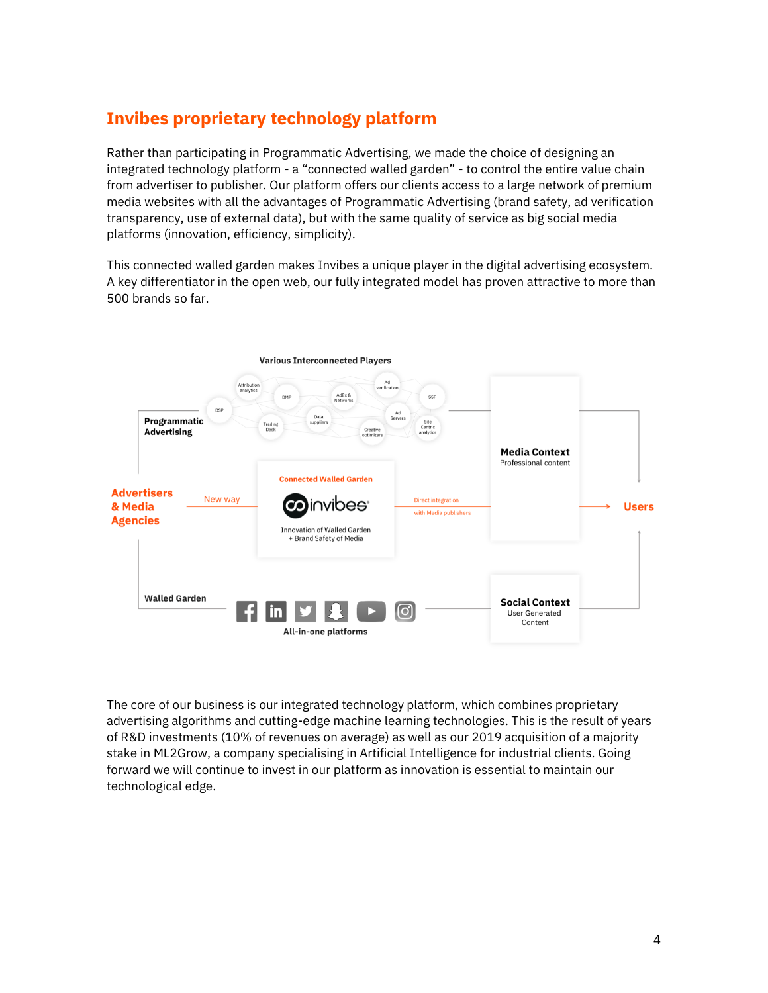### **Invibes proprietary technology platform**

Rather than participating in Programmatic Advertising, we made the choice of designing an integrated technology platform - a "connected walled garden" - to control the entire value chain from advertiser to publisher. Our platform offers our clients access to a large network of premium media websites with all the advantages of Programmatic Advertising (brand safety, ad verification transparency, use of external data), but with the same quality of service as big social media platforms (innovation, efficiency, simplicity).

This connected walled garden makes Invibes a unique player in the digital advertising ecosystem. A key differentiator in the open web, our fully integrated model has proven attractive to more than 500 brands so far.



The core of our business is our integrated technology platform, which combines proprietary advertising algorithms and cutting-edge machine learning technologies. This is the result of years of R&D investments (10% of revenues on average) as well as our 2019 acquisition of a majority stake in ML2Grow, a company specialising in Artificial Intelligence for industrial clients. Going forward we will continue to invest in our platform as innovation is essential to maintain our technological edge.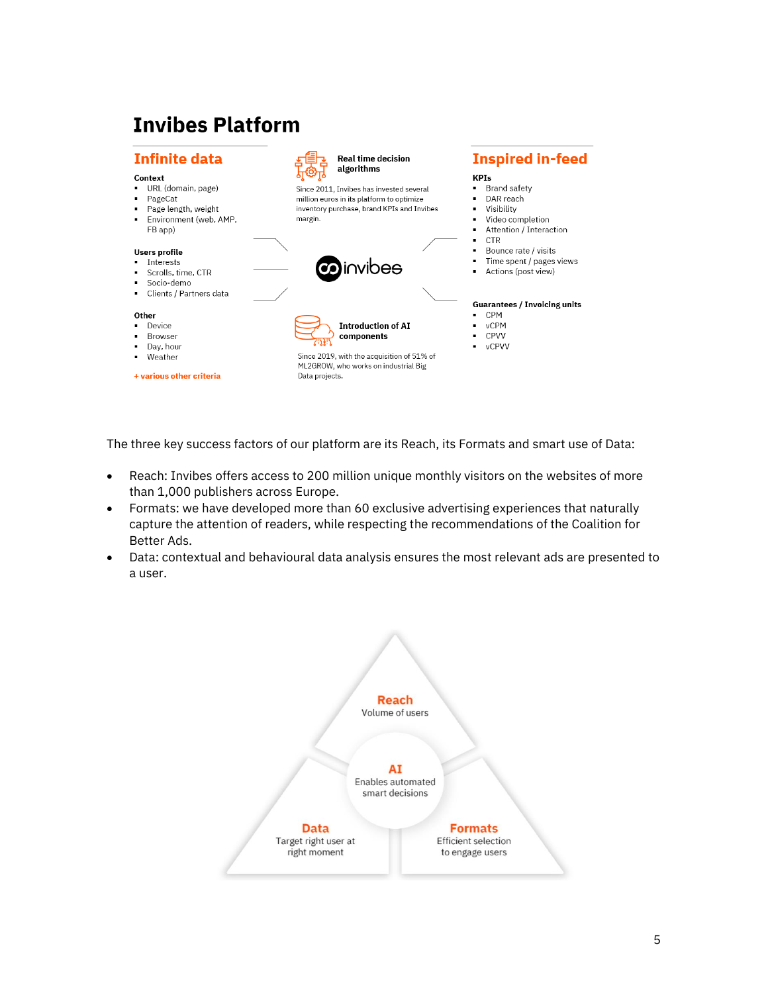## **Invibes Platform**



The three key success factors of our platform are its Reach, its Formats and smart use of Data:

- Reach: Invibes offers access to 200 million unique monthly visitors on the websites of more than 1,000 publishers across Europe.
- Formats: we have developed more than 60 exclusive advertising experiences that naturally capture the attention of readers, while respecting the recommendations of the Coalition for Better Ads.
- Data: contextual and behavioural data analysis ensures the most relevant ads are presented to a user.

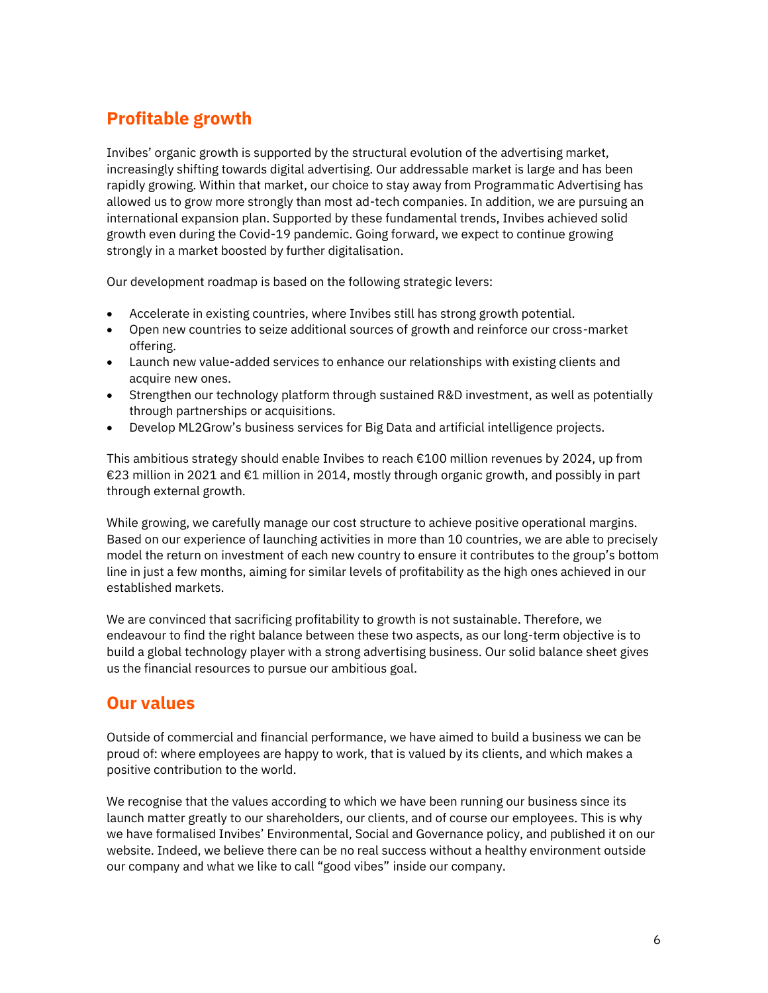### **Profitable growth**

Invibes' organic growth is supported by the structural evolution of the advertising market, increasingly shifting towards digital advertising. Our addressable market is large and has been rapidly growing. Within that market, our choice to stay away from Programmatic Advertising has allowed us to grow more strongly than most ad-tech companies. In addition, we are pursuing an international expansion plan. Supported by these fundamental trends, Invibes achieved solid growth even during the Covid-19 pandemic. Going forward, we expect to continue growing strongly in a market boosted by further digitalisation.

Our development roadmap is based on the following strategic levers:

- Accelerate in existing countries, where Invibes still has strong growth potential.
- Open new countries to seize additional sources of growth and reinforce our cross-market offering.
- Launch new value-added services to enhance our relationships with existing clients and acquire new ones.
- Strengthen our technology platform through sustained R&D investment, as well as potentially through partnerships or acquisitions.
- Develop ML2Grow's business services for Big Data and artificial intelligence projects.

This ambitious strategy should enable Invibes to reach €100 million revenues by 2024, up from €23 million in 2021 and €1 million in 2014, mostly through organic growth, and possibly in part through external growth.

While growing, we carefully manage our cost structure to achieve positive operational margins. Based on our experience of launching activities in more than 10 countries, we are able to precisely model the return on investment of each new country to ensure it contributes to the group's bottom line in just a few months, aiming for similar levels of profitability as the high ones achieved in our established markets.

We are convinced that sacrificing profitability to growth is not sustainable. Therefore, we endeavour to find the right balance between these two aspects, as our long-term objective is to build a global technology player with a strong advertising business. Our solid balance sheet gives us the financial resources to pursue our ambitious goal.

#### **Our values**

Outside of commercial and financial performance, we have aimed to build a business we can be proud of: where employees are happy to work, that is valued by its clients, and which makes a positive contribution to the world.

We recognise that the values according to which we have been running our business since its launch matter greatly to our shareholders, our clients, and of course our employees. This is why we have formalised Invibes' Environmental, Social and Governance policy, and published it on our website. Indeed, we believe there can be no real success without a healthy environment outside our company and what we like to call "good vibes" inside our company.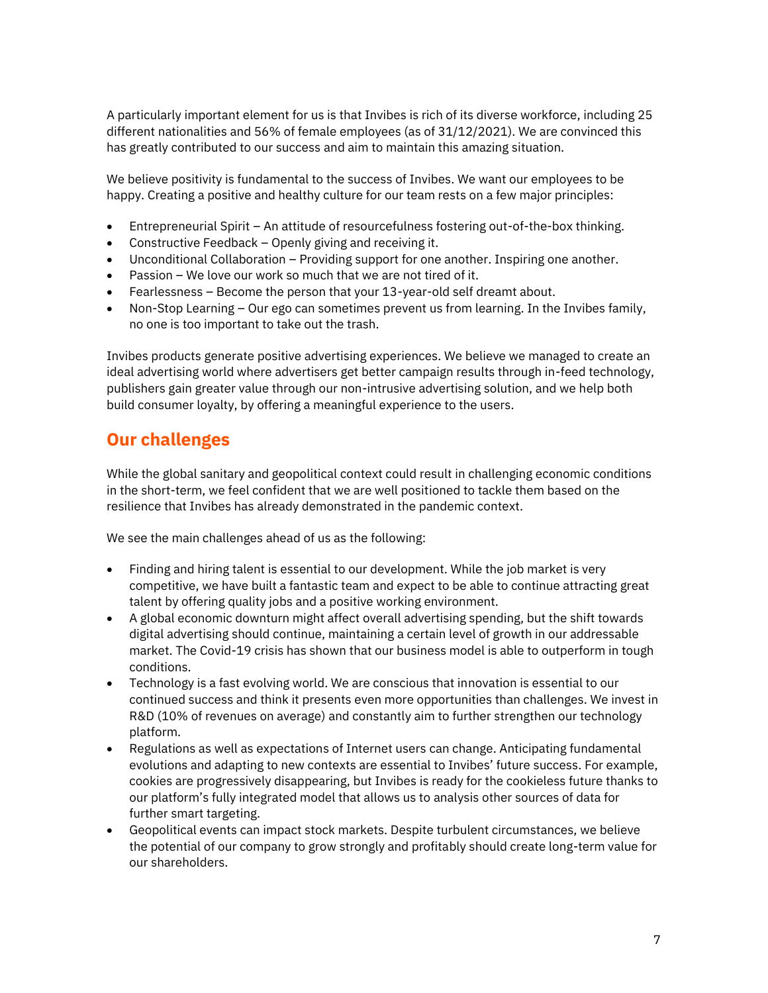A particularly important element for us is that Invibes is rich of its diverse workforce, including 25 different nationalities and 56% of female employees (as of 31/12/2021). We are convinced this has greatly contributed to our success and aim to maintain this amazing situation.

We believe positivity is fundamental to the success of Invibes. We want our employees to be happy. Creating a positive and healthy culture for our team rests on a few major principles:

- Entrepreneurial Spirit An attitude of resourcefulness fostering out-of-the-box thinking.
- Constructive Feedback Openly giving and receiving it.
- Unconditional Collaboration Providing support for one another. Inspiring one another.
- Passion We love our work so much that we are not tired of it.
- Fearlessness Become the person that your 13-year-old self dreamt about.
- Non-Stop Learning Our ego can sometimes prevent us from learning. In the Invibes family, no one is too important to take out the trash.

Invibes products generate positive advertising experiences. We believe we managed to create an ideal advertising world where advertisers get better campaign results through in-feed technology, publishers gain greater value through our non-intrusive advertising solution, and we help both build consumer loyalty, by offering a meaningful experience to the users.

#### **Our challenges**

While the global sanitary and geopolitical context could result in challenging economic conditions in the short-term, we feel confident that we are well positioned to tackle them based on the resilience that Invibes has already demonstrated in the pandemic context.

We see the main challenges ahead of us as the following:

- Finding and hiring talent is essential to our development. While the job market is very competitive, we have built a fantastic team and expect to be able to continue attracting great talent by offering quality jobs and a positive working environment.
- A global economic downturn might affect overall advertising spending, but the shift towards digital advertising should continue, maintaining a certain level of growth in our addressable market. The Covid-19 crisis has shown that our business model is able to outperform in tough conditions.
- Technology is a fast evolving world. We are conscious that innovation is essential to our continued success and think it presents even more opportunities than challenges. We invest in R&D (10% of revenues on average) and constantly aim to further strengthen our technology platform.
- Regulations as well as expectations of Internet users can change. Anticipating fundamental evolutions and adapting to new contexts are essential to Invibes' future success. For example, cookies are progressively disappearing, but Invibes is ready for the cookieless future thanks to our platform's fully integrated model that allows us to analysis other sources of data for further smart targeting.
- Geopolitical events can impact stock markets. Despite turbulent circumstances, we believe the potential of our company to grow strongly and profitably should create long-term value for our shareholders.